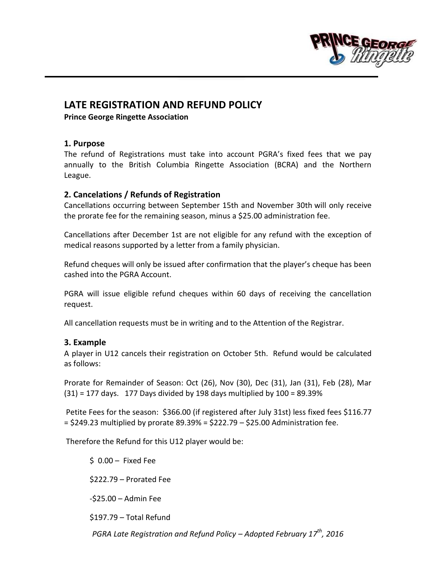

# **LATE REGISTRATION AND REFUND POLICY**

**Prince George Ringette Association**

#### **1. Purpose**

The refund of Registrations must take into account PGRA's fixed fees that we pay annually to the British Columbia Ringette Association (BCRA) and the Northern League.

## **2. Cancelations / Refunds of Registration**

Cancellations occurring between September 15th and November 30th will only receive the prorate fee for the remaining season, minus a \$25.00 administration fee.

Cancellations after December 1st are not eligible for any refund with the exception of medical reasons supported by a letter from a family physician.

Refund cheques will only be issued after confirmation that the player's cheque has been cashed into the PGRA Account.

PGRA will issue eligible refund cheques within 60 days of receiving the cancellation request.

All cancellation requests must be in writing and to the Attention of the Registrar.

## **3. Example**

A player in U12 cancels their registration on October 5th. Refund would be calculated as follows:

Prorate for Remainder of Season: Oct (26), Nov (30), Dec (31), Jan (31), Feb (28), Mar  $(31)$  = 177 days. 177 Days divided by 198 days multiplied by 100 = 89.39%

Petite Fees for the season: \$366.00 (if registered after July 31st) less fixed fees \$116.77  $=$  \$249.23 multiplied by prorate 89.39% = \$222.79  $-$  \$25.00 Administration fee.

Therefore the Refund for this U12 player would be:

 $$0.00 - Fixed Fe$ \$222.79 – Prorated Fee -\$25.00 – Admin Fee

\$197.79 – Total Refund

*PGRA Late Registration and Refund Policy – Adopted February 17th, 2016*